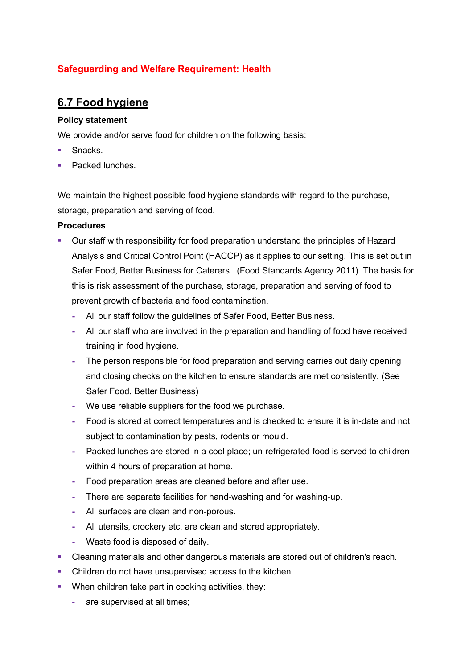## **Safeguarding and Welfare Requirement: Health**

# **6.7 Food hygiene**

## **Policy statement**

We provide and/or serve food for children on the following basis:

- § Snacks.
- Packed lunches

We maintain the highest possible food hygiene standards with regard to the purchase, storage, preparation and serving of food.

## **Procedures**

- Our staff with responsibility for food preparation understand the principles of Hazard Analysis and Critical Control Point (HACCP) as it applies to our setting. This is set out in Safer Food, Better Business for Caterers. (Food Standards Agency 2011). The basis for this is risk assessment of the purchase, storage, preparation and serving of food to prevent growth of bacteria and food contamination.
	- **-** All our staff follow the guidelines of Safer Food, Better Business.
	- **-** All our staff who are involved in the preparation and handling of food have received training in food hygiene.
	- **-** The person responsible for food preparation and serving carries out daily opening and closing checks on the kitchen to ensure standards are met consistently. (See Safer Food, Better Business)
	- **-** We use reliable suppliers for the food we purchase.
	- **-** Food is stored at correct temperatures and is checked to ensure it is in-date and not subject to contamination by pests, rodents or mould.
	- **-** Packed lunches are stored in a cool place; un-refrigerated food is served to children within 4 hours of preparation at home.
	- **-** Food preparation areas are cleaned before and after use.
	- **-** There are separate facilities for hand-washing and for washing-up.
	- **-** All surfaces are clean and non-porous.
	- **-** All utensils, crockery etc. are clean and stored appropriately.
	- **-** Waste food is disposed of daily.
- Cleaning materials and other dangerous materials are stored out of children's reach.
- Children do not have unsupervised access to the kitchen.
- When children take part in cooking activities, they:
	- **-** are supervised at all times;